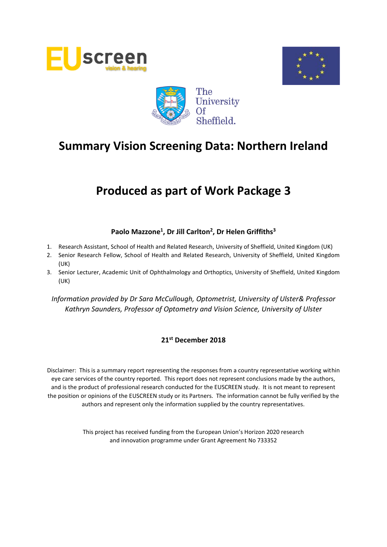





# **Produced as part of Work Package 3**

# **Paolo Mazzone<sup>1</sup> , Dr Jill Carlton<sup>2</sup> , Dr Helen Griffiths<sup>3</sup>**

- 1. Research Assistant, School of Health and Related Research, University of Sheffield, United Kingdom (UK)
- 2. Senior Research Fellow, School of Health and Related Research, University of Sheffield, United Kingdom (UK)
- 3. Senior Lecturer, Academic Unit of Ophthalmology and Orthoptics, University of Sheffield, United Kingdom (UK)

*Information provided by Dr Sara McCullough, Optometrist, University of Ulster& Professor Kathryn Saunders, Professor of Optometry and Vision Science, University of Ulster*

## **21st December 2018**

Disclaimer: This is a summary report representing the responses from a country representative working within eye care services of the country reported. This report does not represent conclusions made by the authors, and is the product of professional research conducted for the EUSCREEN study. It is not meant to represent the position or opinions of the EUSCREEN study or its Partners. The information cannot be fully verified by the authors and represent only the information supplied by the country representatives.

> This project has received funding from the European Union's Horizon 2020 research and innovation programme under Grant Agreement No 733352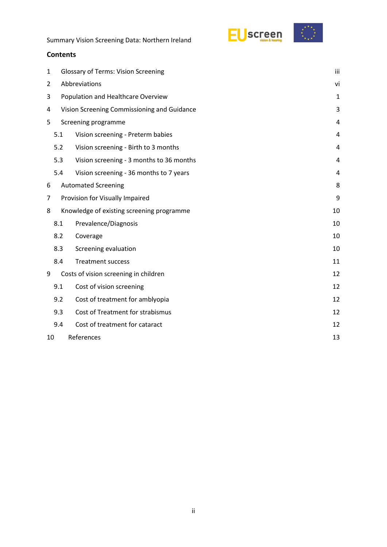

# **Contents**

| <b>Glossary of Terms: Vision Screening</b><br>1  |                                          |                                                                                                                                         |  |
|--------------------------------------------------|------------------------------------------|-----------------------------------------------------------------------------------------------------------------------------------------|--|
| Abbreviations<br>2                               |                                          |                                                                                                                                         |  |
| 3<br>Population and Healthcare Overview          |                                          |                                                                                                                                         |  |
| Vision Screening Commissioning and Guidance<br>4 |                                          |                                                                                                                                         |  |
|                                                  |                                          | 4                                                                                                                                       |  |
| 5.1                                              | Vision screening - Preterm babies        | 4                                                                                                                                       |  |
| 5.2                                              | Vision screening - Birth to 3 months     | $\overline{4}$                                                                                                                          |  |
| 5.3                                              | Vision screening - 3 months to 36 months | 4                                                                                                                                       |  |
| 5.4                                              | Vision screening - 36 months to 7 years  | 4                                                                                                                                       |  |
|                                                  |                                          | 8                                                                                                                                       |  |
| 9<br>7<br>Provision for Visually Impaired        |                                          |                                                                                                                                         |  |
|                                                  |                                          | 10                                                                                                                                      |  |
| 8.1                                              | Prevalence/Diagnosis                     | 10                                                                                                                                      |  |
| 8.2<br>Coverage                                  |                                          |                                                                                                                                         |  |
| Screening evaluation<br>8.3                      |                                          | 10                                                                                                                                      |  |
| 8.4                                              | <b>Treatment success</b>                 | 11                                                                                                                                      |  |
|                                                  |                                          | 12                                                                                                                                      |  |
| 9.1                                              | Cost of vision screening                 | 12                                                                                                                                      |  |
| 9.2                                              | Cost of treatment for amblyopia          | 12                                                                                                                                      |  |
| 9.3                                              | Cost of Treatment for strabismus         | 12                                                                                                                                      |  |
| 9.4                                              | Cost of treatment for cataract           | 12                                                                                                                                      |  |
| References<br>13<br>10                           |                                          |                                                                                                                                         |  |
|                                                  |                                          | Screening programme<br><b>Automated Screening</b><br>Knowledge of existing screening programme<br>Costs of vision screening in children |  |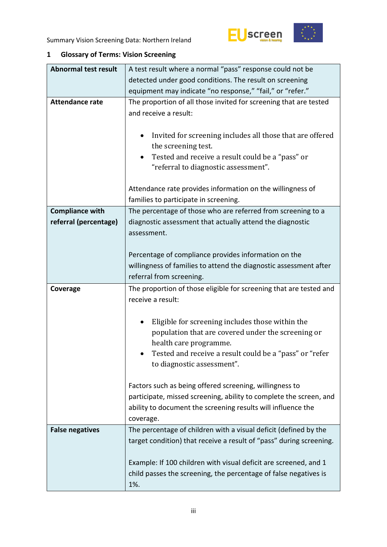



# <span id="page-2-0"></span>**1 Glossary of Terms: Vision Screening**

| <b>Abnormal test result</b> | A test result where a normal "pass" response could not be                                                                                                                                                  |  |  |
|-----------------------------|------------------------------------------------------------------------------------------------------------------------------------------------------------------------------------------------------------|--|--|
|                             | detected under good conditions. The result on screening                                                                                                                                                    |  |  |
|                             | equipment may indicate "no response," "fail," or "refer."                                                                                                                                                  |  |  |
| <b>Attendance rate</b>      | The proportion of all those invited for screening that are tested<br>and receive a result:                                                                                                                 |  |  |
|                             | Invited for screening includes all those that are offered<br>the screening test.<br>Tested and receive a result could be a "pass" or<br>"referral to diagnostic assessment".                               |  |  |
|                             | Attendance rate provides information on the willingness of<br>families to participate in screening.                                                                                                        |  |  |
| <b>Compliance with</b>      | The percentage of those who are referred from screening to a                                                                                                                                               |  |  |
| referral (percentage)       | diagnostic assessment that actually attend the diagnostic<br>assessment.                                                                                                                                   |  |  |
|                             | Percentage of compliance provides information on the<br>willingness of families to attend the diagnostic assessment after<br>referral from screening.                                                      |  |  |
| Coverage                    | The proportion of those eligible for screening that are tested and                                                                                                                                         |  |  |
|                             | receive a result:                                                                                                                                                                                          |  |  |
|                             | Eligible for screening includes those within the                                                                                                                                                           |  |  |
|                             | population that are covered under the screening or<br>health care programme.<br>Tested and receive a result could be a "pass" or "refer<br>to diagnostic assessment".                                      |  |  |
|                             | Factors such as being offered screening, willingness to<br>participate, missed screening, ability to complete the screen, and<br>ability to document the screening results will influence the<br>coverage. |  |  |
| <b>False negatives</b>      | The percentage of children with a visual deficit (defined by the<br>target condition) that receive a result of "pass" during screening.                                                                    |  |  |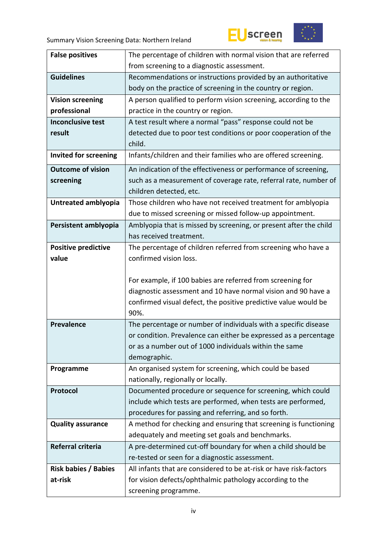



| <b>False positives</b>       | The percentage of children with normal vision that are referred                                                             |  |  |
|------------------------------|-----------------------------------------------------------------------------------------------------------------------------|--|--|
|                              | from screening to a diagnostic assessment.                                                                                  |  |  |
| <b>Guidelines</b>            | Recommendations or instructions provided by an authoritative                                                                |  |  |
|                              | body on the practice of screening in the country or region.                                                                 |  |  |
| <b>Vision screening</b>      | A person qualified to perform vision screening, according to the                                                            |  |  |
| professional                 | practice in the country or region.                                                                                          |  |  |
| <b>Inconclusive test</b>     | A test result where a normal "pass" response could not be                                                                   |  |  |
| result                       | detected due to poor test conditions or poor cooperation of the                                                             |  |  |
|                              | child.                                                                                                                      |  |  |
| <b>Invited for screening</b> | Infants/children and their families who are offered screening.                                                              |  |  |
| <b>Outcome of vision</b>     | An indication of the effectiveness or performance of screening,                                                             |  |  |
| screening                    | such as a measurement of coverage rate, referral rate, number of                                                            |  |  |
|                              | children detected, etc.                                                                                                     |  |  |
| Untreated amblyopia          | Those children who have not received treatment for amblyopia                                                                |  |  |
|                              | due to missed screening or missed follow-up appointment.                                                                    |  |  |
| Persistent amblyopia         | Amblyopia that is missed by screening, or present after the child                                                           |  |  |
|                              | has received treatment.                                                                                                     |  |  |
| <b>Positive predictive</b>   | The percentage of children referred from screening who have a                                                               |  |  |
| value                        | confirmed vision loss.                                                                                                      |  |  |
|                              |                                                                                                                             |  |  |
|                              | For example, if 100 babies are referred from screening for                                                                  |  |  |
|                              | diagnostic assessment and 10 have normal vision and 90 have a                                                               |  |  |
|                              | confirmed visual defect, the positive predictive value would be                                                             |  |  |
|                              | 90%.                                                                                                                        |  |  |
| <b>Prevalence</b>            | The percentage or number of individuals with a specific disease                                                             |  |  |
|                              | or condition. Prevalence can either be expressed as a percentage                                                            |  |  |
|                              | or as a number out of 1000 individuals within the same                                                                      |  |  |
|                              | demographic.                                                                                                                |  |  |
| Programme                    | An organised system for screening, which could be based<br>nationally, regionally or locally.                               |  |  |
| Protocol                     |                                                                                                                             |  |  |
|                              | Documented procedure or sequence for screening, which could<br>include which tests are performed, when tests are performed, |  |  |
|                              | procedures for passing and referring, and so forth.                                                                         |  |  |
| <b>Quality assurance</b>     | A method for checking and ensuring that screening is functioning                                                            |  |  |
|                              | adequately and meeting set goals and benchmarks.                                                                            |  |  |
| Referral criteria            | A pre-determined cut-off boundary for when a child should be                                                                |  |  |
|                              | re-tested or seen for a diagnostic assessment.                                                                              |  |  |
| <b>Risk babies / Babies</b>  | All infants that are considered to be at-risk or have risk-factors                                                          |  |  |
| at-risk                      | for vision defects/ophthalmic pathology according to the                                                                    |  |  |
|                              | screening programme.                                                                                                        |  |  |
|                              |                                                                                                                             |  |  |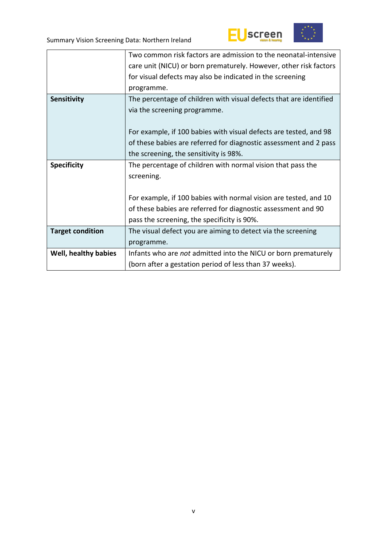



|                         | Two common risk factors are admission to the neonatal-intensive    |
|-------------------------|--------------------------------------------------------------------|
|                         | care unit (NICU) or born prematurely. However, other risk factors  |
|                         | for visual defects may also be indicated in the screening          |
|                         | programme.                                                         |
| Sensitivity             | The percentage of children with visual defects that are identified |
|                         | via the screening programme.                                       |
|                         |                                                                    |
|                         | For example, if 100 babies with visual defects are tested, and 98  |
|                         | of these babies are referred for diagnostic assessment and 2 pass  |
|                         | the screening, the sensitivity is 98%.                             |
| <b>Specificity</b>      | The percentage of children with normal vision that pass the        |
|                         | screening.                                                         |
|                         |                                                                    |
|                         | For example, if 100 babies with normal vision are tested, and 10   |
|                         | of these babies are referred for diagnostic assessment and 90      |
|                         | pass the screening, the specificity is 90%.                        |
| <b>Target condition</b> | The visual defect you are aiming to detect via the screening       |
|                         | programme.                                                         |
| Well, healthy babies    | Infants who are not admitted into the NICU or born prematurely     |
|                         | (born after a gestation period of less than 37 weeks).             |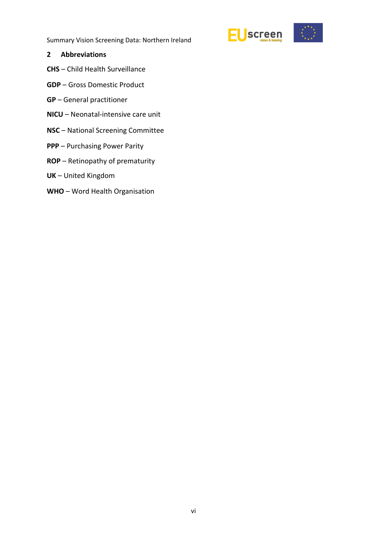

#### <span id="page-5-0"></span>**2 Abbreviations**

- **CHS** Child Health Surveillance
- **GDP** Gross Domestic Product
- **GP** General practitioner
- **NICU** Neonatal-intensive care unit
- **NSC** National Screening Committee
- **PPP** Purchasing Power Parity
- **ROP** Retinopathy of prematurity
- **UK** United Kingdom
- **WHO** Word Health Organisation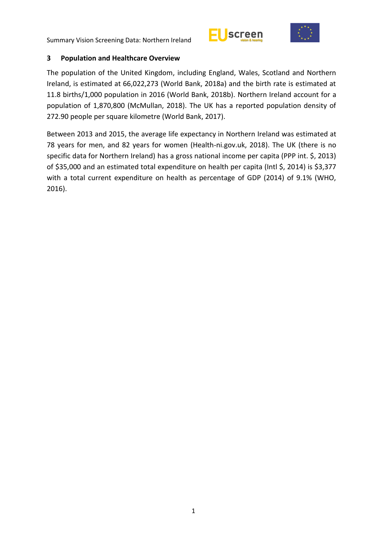



## <span id="page-6-0"></span>**3 Population and Healthcare Overview**

The population of the United Kingdom, including England, Wales, Scotland and Northern Ireland, is estimated at 66,022,273 (World Bank, 2018a) and the birth rate is estimated at 11.8 births/1,000 population in 2016 (World Bank, 2018b). Northern Ireland account for a population of 1,870,800 (McMullan, 2018). The UK has a reported population density of 272.90 people per square kilometre (World Bank, 2017).

Between 2013 and 2015, the average life expectancy in Northern Ireland was estimated at 78 years for men, and 82 years for women (Health-ni.gov.uk, 2018). The UK (there is no specific data for Northern Ireland) has a gross national income per capita (PPP int. \$, 2013) of \$35,000 and an estimated total expenditure on health per capita (Intl \$, 2014) is \$3,377 with a total current expenditure on health as percentage of GDP (2014) of 9.1% (WHO, 2016).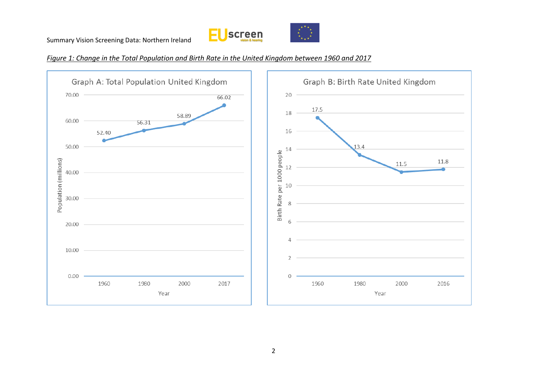



*Figure 1: Change in the Total Population and Birth Rate in the United Kingdom between 1960 and 2017*

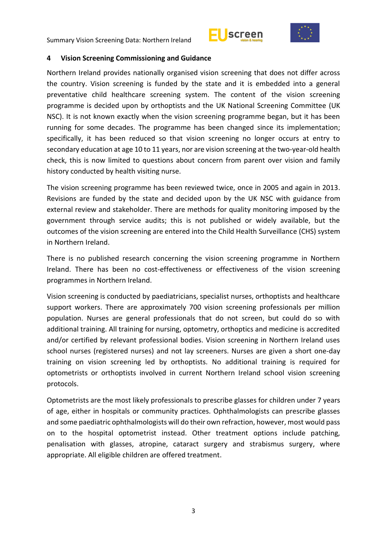



#### <span id="page-8-0"></span>**4 Vision Screening Commissioning and Guidance**

Northern Ireland provides nationally organised vision screening that does not differ across the country. Vision screening is funded by the state and it is embedded into a general preventative child healthcare screening system. The content of the vision screening programme is decided upon by orthoptists and the UK National Screening Committee (UK NSC). It is not known exactly when the vision screening programme began, but it has been running for some decades. The programme has been changed since its implementation; specifically, it has been reduced so that vision screening no longer occurs at entry to secondary education at age 10 to 11 years, nor are vision screening at the two-year-old health check, this is now limited to questions about concern from parent over vision and family history conducted by health visiting nurse.

The vision screening programme has been reviewed twice, once in 2005 and again in 2013. Revisions are funded by the state and decided upon by the UK NSC with guidance from external review and stakeholder. There are methods for quality monitoring imposed by the government through service audits; this is not published or widely available, but the outcomes of the vision screening are entered into the Child Health Surveillance (CHS) system in Northern Ireland.

There is no published research concerning the vision screening programme in Northern Ireland. There has been no cost-effectiveness or effectiveness of the vision screening programmes in Northern Ireland.

Vision screening is conducted by paediatricians, specialist nurses, orthoptists and healthcare support workers. There are approximately 700 vision screening professionals per million population. Nurses are general professionals that do not screen, but could do so with additional training. All training for nursing, optometry, orthoptics and medicine is accredited and/or certified by relevant professional bodies. Vision screening in Northern Ireland uses school nurses (registered nurses) and not lay screeners. Nurses are given a short one-day training on vision screening led by orthoptists. No additional training is required for optometrists or orthoptists involved in current Northern Ireland school vision screening protocols.

Optometrists are the most likely professionals to prescribe glasses for children under 7 years of age, either in hospitals or community practices. Ophthalmologists can prescribe glasses and some paediatric ophthalmologists will do their own refraction, however, most would pass on to the hospital optometrist instead. Other treatment options include patching, penalisation with glasses, atropine, cataract surgery and strabismus surgery, where appropriate. All eligible children are offered treatment.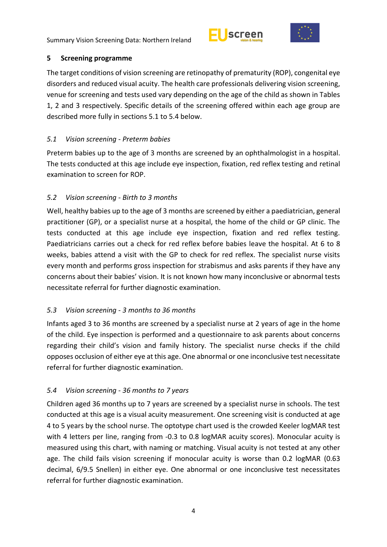



## <span id="page-9-0"></span>**5 Screening programme**

The target conditions of vision screening are retinopathy of prematurity (ROP), congenital eye disorders and reduced visual acuity. The health care professionals delivering vision screening, venue for screening and tests used vary depending on the age of the child as shown in Tables 1, 2 and 3 respectively. Specific details of the screening offered within each age group are described more fully in sections 5.1 to 5.4 below.

# <span id="page-9-1"></span>*5.1 Vision screening - Preterm babies*

Preterm babies up to the age of 3 months are screened by an ophthalmologist in a hospital. The tests conducted at this age include eye inspection, fixation, red reflex testing and retinal examination to screen for ROP.

# <span id="page-9-2"></span>*5.2 Vision screening - Birth to 3 months*

Well, healthy babies up to the age of 3 months are screened by either a paediatrician, general practitioner (GP), or a specialist nurse at a hospital, the home of the child or GP clinic. The tests conducted at this age include eye inspection, fixation and red reflex testing. Paediatricians carries out a check for red reflex before babies leave the hospital. At 6 to 8 weeks, babies attend a visit with the GP to check for red reflex. The specialist nurse visits every month and performs gross inspection for strabismus and asks parents if they have any concerns about their babies' vision. It is not known how many inconclusive or abnormal tests necessitate referral for further diagnostic examination.

# <span id="page-9-3"></span>*5.3 Vision screening - 3 months to 36 months*

Infants aged 3 to 36 months are screened by a specialist nurse at 2 years of age in the home of the child. Eye inspection is performed and a questionnaire to ask parents about concerns regarding their child's vision and family history. The specialist nurse checks if the child opposes occlusion of either eye at this age. One abnormal or one inconclusive test necessitate referral for further diagnostic examination.

# <span id="page-9-4"></span>*5.4 Vision screening - 36 months to 7 years*

Children aged 36 months up to 7 years are screened by a specialist nurse in schools. The test conducted at this age is a visual acuity measurement. One screening visit is conducted at age 4 to 5 years by the school nurse. The optotype chart used is the crowded Keeler logMAR test with 4 letters per line, ranging from -0.3 to 0.8 logMAR acuity scores). Monocular acuity is measured using this chart, with naming or matching. Visual acuity is not tested at any other age. The child fails vision screening if monocular acuity is worse than 0.2 logMAR (0.63 decimal, 6/9.5 Snellen) in either eye. One abnormal or one inconclusive test necessitates referral for further diagnostic examination.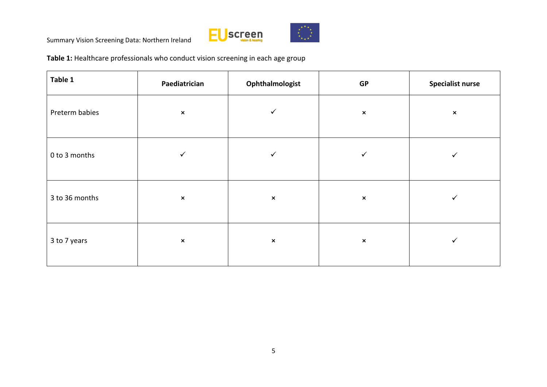



**Table 1:** Healthcare professionals who conduct vision screening in each age group

| Table 1        | Paediatrician  | Ophthalmologist | GP             | <b>Specialist nurse</b> |
|----------------|----------------|-----------------|----------------|-------------------------|
| Preterm babies | $\pmb{\times}$ | $\checkmark$    | $\pmb{\times}$ | $\pmb{\times}$          |
| 0 to 3 months  | $\checkmark$   | $\checkmark$    | ✓              | ✓                       |
| 3 to 36 months | $\pmb{\times}$ | $\pmb{\times}$  | $\pmb{\times}$ | ✓                       |
| 3 to 7 years   | $\pmb{\times}$ | $\pmb{\times}$  | $\pmb{\times}$ | ✓                       |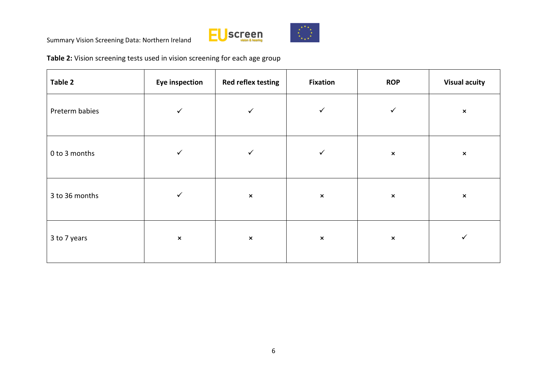



**Table 2:** Vision screening tests used in vision screening for each age group

| Table 2        | <b>Eye inspection</b> | Red reflex testing        | <b>Fixation</b>           | <b>ROP</b>     | <b>Visual acuity</b>      |
|----------------|-----------------------|---------------------------|---------------------------|----------------|---------------------------|
| Preterm babies | ✓                     | $\checkmark$              | $\checkmark$              | $\checkmark$   | $\pmb{\times}$            |
| 0 to 3 months  | ✓                     | $\checkmark$              | $\checkmark$              | $\pmb{\times}$ | $\boldsymbol{\mathsf{x}}$ |
| 3 to 36 months |                       | $\boldsymbol{\mathsf{x}}$ | $\boldsymbol{\mathsf{x}}$ | $\pmb{\times}$ | $\boldsymbol{\mathsf{x}}$ |
| 3 to 7 years   | $\pmb{\times}$        | $\pmb{\times}$            | $\boldsymbol{\mathsf{x}}$ | $\pmb{\times}$ | ✓                         |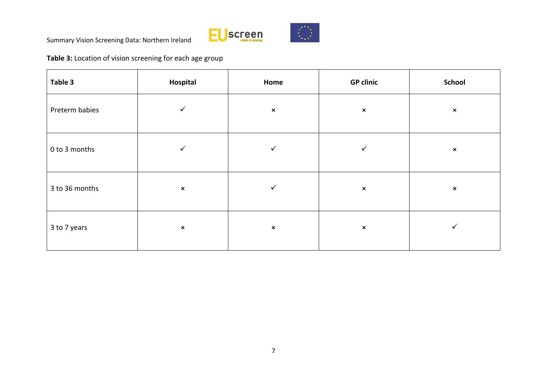



**Table 3:** Location of vision screening for each age group

| Table 3        | Hospital       | Home           | <b>GP clinic</b>          | <b>School</b>  |
|----------------|----------------|----------------|---------------------------|----------------|
| Preterm babies | ✓              | $\pmb{\times}$ | $\pmb{\times}$            | $\pmb{\times}$ |
| 0 to 3 months  | ✓              | ✓              | ✓                         | $\pmb{\times}$ |
| 3 to 36 months | $\pmb{\times}$ | ✓              | $\pmb{\times}$            | $\pmb{\times}$ |
| 3 to 7 years   | $\pmb{\times}$ | $\pmb{\times}$ | $\boldsymbol{\mathsf{x}}$ | ✓              |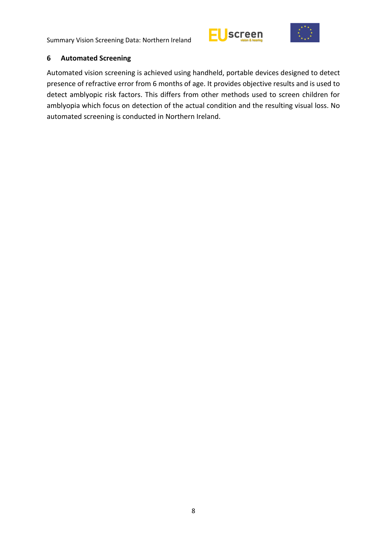



#### <span id="page-13-0"></span>**6 Automated Screening**

Automated vision screening is achieved using handheld, portable devices designed to detect presence of refractive error from 6 months of age. It provides objective results and is used to detect amblyopic risk factors. This differs from other methods used to screen children for amblyopia which focus on detection of the actual condition and the resulting visual loss. No automated screening is conducted in Northern Ireland.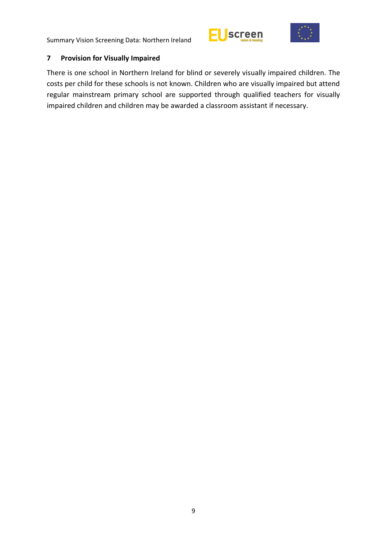



## <span id="page-14-0"></span>**7 Provision for Visually Impaired**

There is one school in Northern Ireland for blind or severely visually impaired children. The costs per child for these schools is not known. Children who are visually impaired but attend regular mainstream primary school are supported through qualified teachers for visually impaired children and children may be awarded a classroom assistant if necessary.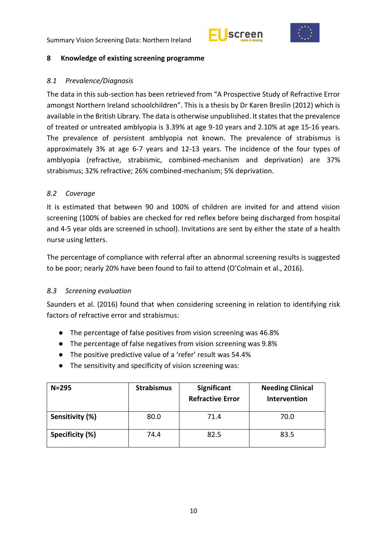



#### <span id="page-15-0"></span>**8 Knowledge of existing screening programme**

#### <span id="page-15-1"></span>*8.1 Prevalence/Diagnosis*

The data in this sub-section has been retrieved from "A Prospective Study of Refractive Error amongst Northern Ireland schoolchildren". This is a thesis by Dr Karen Breslin (2012) which is available in the British Library. The data is otherwise unpublished. It states that the prevalence of treated or untreated amblyopia is 3.39% at age 9-10 years and 2.10% at age 15-16 years. The prevalence of persistent amblyopia not known. The prevalence of strabismus is approximately 3% at age 6-7 years and 12-13 years. The incidence of the four types of amblyopia (refractive, strabismic, combined-mechanism and deprivation) are 37% strabismus; 32% refractive; 26% combined-mechanism; 5% deprivation.

#### <span id="page-15-2"></span>*8.2 Coverage*

It is estimated that between 90 and 100% of children are invited for and attend vision screening (100% of babies are checked for red reflex before being discharged from hospital and 4-5 year olds are screened in school). Invitations are sent by either the state of a health nurse using letters.

The percentage of compliance with referral after an abnormal screening results is suggested to be poor; nearly 20% have been found to fail to attend (O'Colmain et al., 2016).

## <span id="page-15-3"></span>*8.3 Screening evaluation*

Saunders et al. (2016) found that when considering screening in relation to identifying risk factors of refractive error and strabismus:

- The percentage of false positives from vision screening was 46.8%
- The percentage of false negatives from vision screening was 9.8%
- The positive predictive value of a 'refer' result was 54.4%
- The sensitivity and specificity of vision screening was:

| $N = 295$       | <b>Strabismus</b> | Significant<br><b>Refractive Error</b> | <b>Needing Clinical</b><br>Intervention |
|-----------------|-------------------|----------------------------------------|-----------------------------------------|
| Sensitivity (%) | 80.0              | 71.4                                   | 70.0                                    |
| Specificity (%) | 74.4              | 82.5                                   | 83.5                                    |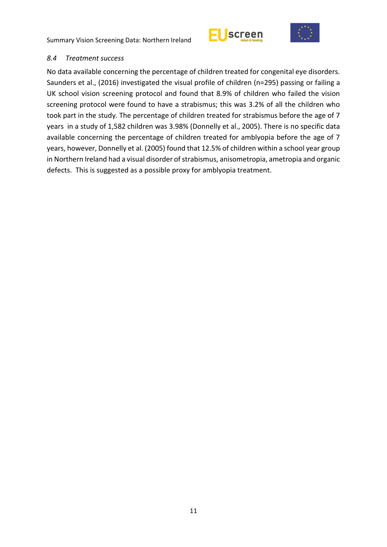



#### <span id="page-16-0"></span>*8.4 Treatment success*

No data available concerning the percentage of children treated for congenital eye disorders. Saunders et al., (2016) investigated the visual profile of children (n=295) passing or failing a UK school vision screening protocol and found that 8.9% of children who failed the vision screening protocol were found to have a strabismus; this was 3.2% of all the children who took part in the study. The percentage of children treated for strabismus before the age of 7 years in a study of 1,582 children was 3.98% (Donnelly et al., 2005). There is no specific data available concerning the percentage of children treated for amblyopia before the age of 7 years, however, Donnelly et al. (2005) found that 12.5% of children within a school year group in Northern Ireland had a visual disorder of strabismus, anisometropia, ametropia and organic defects. This is suggested as a possible proxy for amblyopia treatment.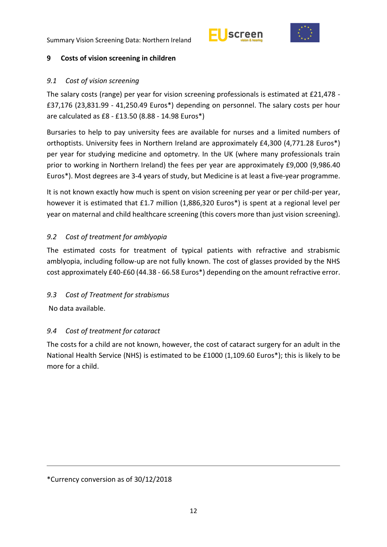



## <span id="page-17-0"></span>**9 Costs of vision screening in children**

#### <span id="page-17-1"></span>*9.1 Cost of vision screening*

The salary costs (range) per year for vision screening professionals is estimated at £21,478 - £37,176 (23,831.99 - 41,250.49 Euros\*) depending on personnel. The salary costs per hour are calculated as £8 - £13.50 (8.88 - 14.98 Euros\*)

Bursaries to help to pay university fees are available for nurses and a limited numbers of orthoptists. University fees in Northern Ireland are approximately £4,300 (4,771.28 Euros\*) per year for studying medicine and optometry. In the UK (where many professionals train prior to working in Northern Ireland) the fees per year are approximately £9,000 (9,986.40 Euros\*). Most degrees are 3-4 years of study, but Medicine is at least a five-year programme.

It is not known exactly how much is spent on vision screening per year or per child-per year, however it is estimated that £1.7 million (1,886,320 Euros\*) is spent at a regional level per year on maternal and child healthcare screening (this covers more than just vision screening).

## <span id="page-17-2"></span>*9.2 Cost of treatment for amblyopia*

The estimated costs for treatment of typical patients with refractive and strabismic amblyopia, including follow-up are not fully known. The cost of glasses provided by the NHS cost approximately £40-£60 (44.38 - 66.58 Euros\*) depending on the amount refractive error.

## <span id="page-17-3"></span>*9.3 Cost of Treatment for strabismus*

No data available.

# <span id="page-17-4"></span>*9.4 Cost of treatment for cataract*

The costs for a child are not known, however, the cost of cataract surgery for an adult in the National Health Service (NHS) is estimated to be £1000 (1,109.60 Euros\*); this is likely to be more for a child.

<sup>\*</sup>Currency conversion as of 30/12/2018